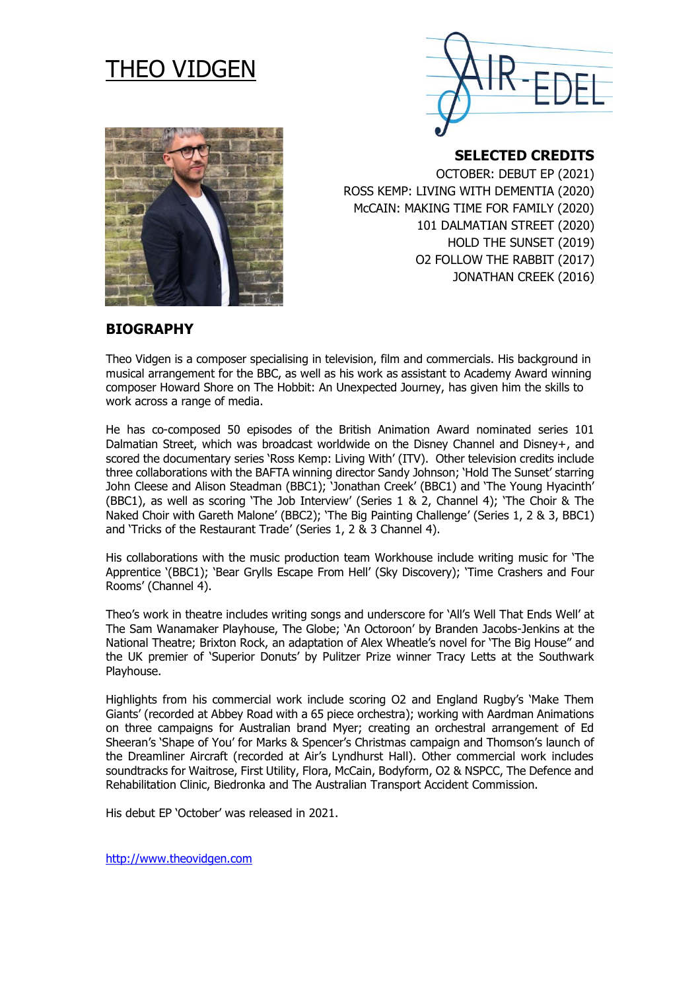# THEO VIDGEN



**SELECTED CREDITS** 

OCTOBER: DEBUT EP (2021) ROSS KEMP: LIVING WITH DEMENTIA (2020) McCAIN: MAKING TIME FOR FAMILY (2020) 101 DALMATIAN STREET (2020) HOLD THE SUNSET (2019) O2 FOLLOW THE RABBIT (2017) JONATHAN CREEK (2016)

# **BIOGRAPHY**

Theo Vidgen is a composer specialising in television, film and commercials. His background in musical arrangement for the BBC, as well as his work as assistant to Academy Award winning composer Howard Shore on The Hobbit: An Unexpected Journey, has given him the skills to work across a range of media.

He has co-composed 50 episodes of the British Animation Award nominated series 101 Dalmatian Street, which was broadcast worldwide on the Disney Channel and Disney+, and scored the documentary series 'Ross Kemp: Living With' (ITV). Other television credits include three collaborations with the BAFTA winning director Sandy Johnson; 'Hold The Sunset' starring John Cleese and Alison Steadman (BBC1); 'Jonathan Creek' (BBC1) and 'The Young Hyacinth' (BBC1), as well as scoring 'The Job Interview' (Series 1 & 2, Channel 4); 'The Choir & The Naked Choir with Gareth Malone' (BBC2); 'The Big Painting Challenge' (Series 1, 2 & 3, BBC1) and 'Tricks of the Restaurant Trade' (Series 1, 2 & 3 Channel 4).

His collaborations with the music production team Workhouse include writing music for 'The Apprentice '(BBC1); 'Bear Grylls Escape From Hell' (Sky Discovery); 'Time Crashers and Four Rooms' (Channel 4).

Theo's work in theatre includes writing songs and underscore for 'All's Well That Ends Well' at The Sam Wanamaker Playhouse, The Globe; 'An Octoroon' by Branden Jacobs-Jenkins at the National Theatre; Brixton Rock, an adaptation of Alex Wheatle's novel for 'The Big House'' and the UK premier of 'Superior Donuts' by Pulitzer Prize winner Tracy Letts at the Southwark Playhouse.

Highlights from his commercial work include scoring O2 and England Rugby's 'Make Them Giants' (recorded at Abbey Road with a 65 piece orchestra); working with Aardman Animations on three campaigns for Australian brand Myer; creating an orchestral arrangement of Ed Sheeran's 'Shape of You' for Marks & Spencer's Christmas campaign and Thomson's launch of the Dreamliner Aircraft (recorded at Air's Lyndhurst Hall). Other commercial work includes soundtracks for Waitrose, First Utility, Flora, McCain, Bodyform, O2 & NSPCC, The Defence and Rehabilitation Clinic, Biedronka and The Australian Transport Accident Commission.

His debut EP 'October' was released in 2021.

[http://www.theovidgen.com](http://www.theovidgen.com/)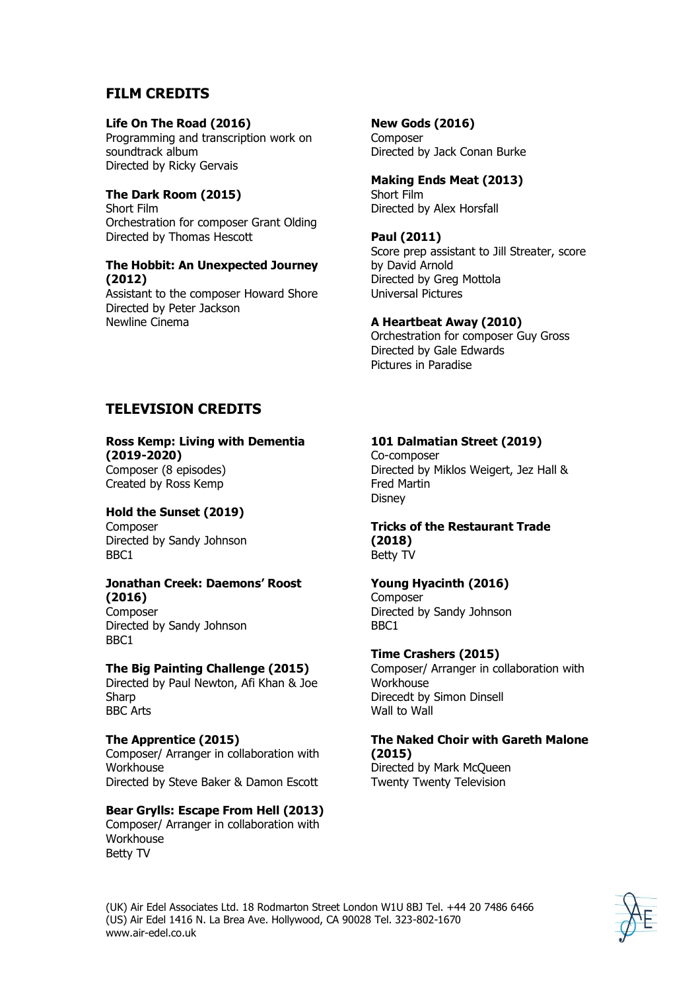# **FILM CREDITS**

#### **Life On The Road (2016)**

Programming and transcription work on soundtrack album Directed by Ricky Gervais

#### **The Dark Room (2015)**

Short Film Orchestration for composer Grant Olding Directed by Thomas Hescott

# **The Hobbit: An Unexpected Journey (2012)**

Assistant to the composer Howard Shore Directed by Peter Jackson Newline Cinema

#### **New Gods (2016)**

**Composer** Directed by Jack Conan Burke

#### **Making Ends Meat (2013)** Short Film Directed by Alex Horsfall

#### **Paul (2011)**

Score prep assistant to Jill Streater, score by David Arnold Directed by Greg Mottola Universal Pictures

#### **A Heartbeat Away (2010)**

Orchestration for composer Guy Gross Directed by Gale Edwards Pictures in Paradise

# **TELEVISION CREDITS**

#### **Ross Kemp: Living with Dementia (2019-2020)**

Composer (8 episodes) Created by Ross Kemp

## **Hold the Sunset (2019)**

Composer Directed by Sandy Johnson BBC1

#### **Jonathan Creek: Daemons' Roost (2016)**

Composer Directed by Sandy Johnson BBC1

### **The Big Painting Challenge (2015)**

Directed by Paul Newton, Afi Khan & Joe **Sharp** BBC Arts

#### **The Apprentice (2015)** Composer/ Arranger in collaboration with **Workhouse** Directed by Steve Baker & Damon Escott

# **Bear Grylls: Escape From Hell (2013)**

Composer/ Arranger in collaboration with Workhouse Betty TV

# **101 Dalmatian Street (2019)**

Co-composer Directed by Miklos Weigert, Jez Hall & Fred Martin **Disney** 

# **Tricks of the Restaurant Trade (2018)**

Betty TV

### **Young Hyacinth (2016)**

**Composer** Directed by Sandy Johnson BBC1

### **Time Crashers (2015)**

Composer/ Arranger in collaboration with **Workhouse** Direcedt by Simon Dinsell Wall to Wall

#### **The Naked Choir with Gareth Malone (2015)**

Directed by Mark McQueen Twenty Twenty Television

(UK) Air Edel Associates Ltd. 18 Rodmarton Street London W1U 8BJ Tel. +44 20 7486 6466 (US) Air Edel 1416 N. La Brea Ave. Hollywood, CA 90028 Tel. 323-802-1670 www.air-edel.co.uk

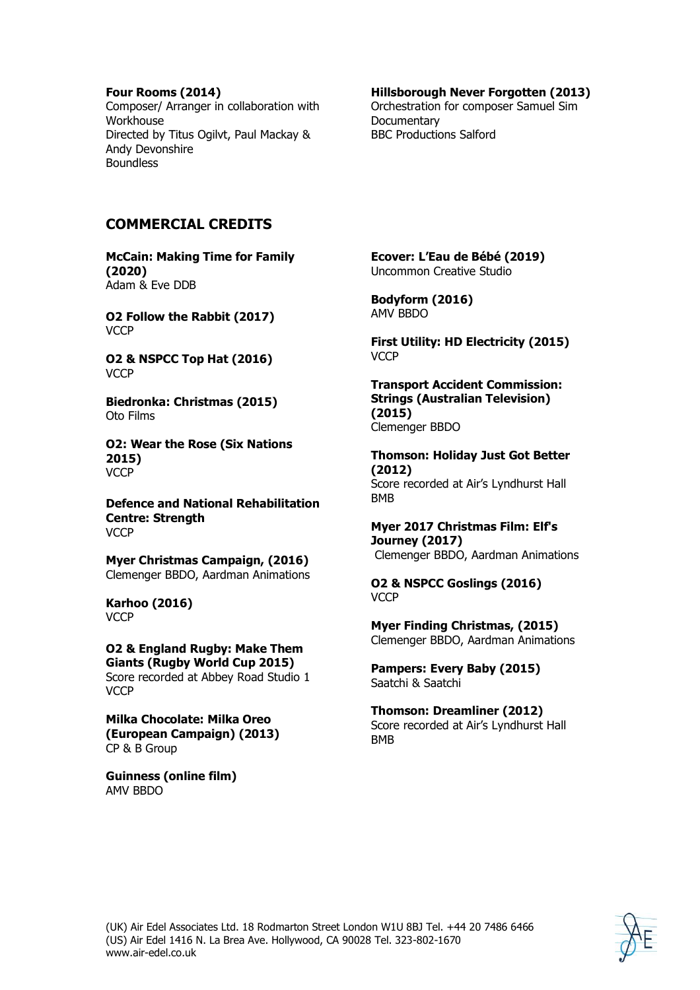#### **Four Rooms (2014)**

Composer/ Arranger in collaboration with Workhouse Directed by Titus Ogilvt, Paul Mackay & Andy Devonshire **Boundless** 

#### **Hillsborough Never Forgotten (2013)**

Orchestration for composer Samuel Sim **Documentary** BBC Productions Salford

# **COMMERCIAL CREDITS**

**McCain: Making Time for Family (2020)** Adam & Eve DDB

**O2 Follow the Rabbit (2017) VCCP** 

**O2 & NSPCC Top Hat (2016) VCCP** 

**Biedronka: Christmas (2015)** Oto Films

**O2: Wear the Rose (Six Nations 2015) VCCP** 

**Defence and National Rehabilitation Centre: Strength VCCP** 

**Myer Christmas Campaign, (2016)** Clemenger BBDO, Aardman Animations

**Karhoo (2016) VCCP** 

**O2 & England Rugby: Make Them Giants (Rugby World Cup 2015)** Score recorded at Abbey Road Studio 1 **VCCP** 

**Milka Chocolate: Milka Oreo (European Campaign) (2013)** CP & B Group

**Guinness (online film)** AMV BBDO

**Ecover: L'Eau de Bébé (2019)** Uncommon Creative Studio

**Bodyform (2016)** AMV BBDO

**First Utility: HD Electricity (2015) VCCP** 

**Transport Accident Commission: Strings (Australian Television) (2015)** Clemenger BBDO

**Thomson: Holiday Just Got Better (2012)** Score recorded at Air's Lyndhurst Hall BMB

**Myer 2017 Christmas Film: Elf's Journey (2017)** Clemenger BBDO, Aardman Animations

**O2 & NSPCC Goslings (2016) VCCP** 

**Myer Finding Christmas, (2015)** Clemenger BBDO, Aardman Animations

**Pampers: Every Baby (2015)** Saatchi & Saatchi

**Thomson: Dreamliner (2012)** Score recorded at Air's Lyndhurst Hall BMB